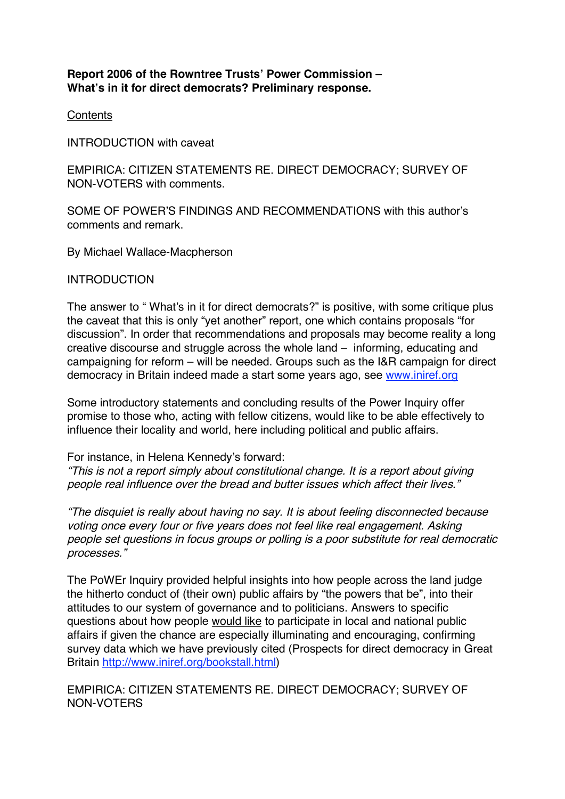# **Report 2006 of the Rowntree Trusts' Power Commission – What's in it for direct democrats? Preliminary response.**

**Contents** 

INTRODUCTION with caveat

EMPIRICA: CITIZEN STATEMENTS RE. DIRECT DEMOCRACY; SURVEY OF NON-VOTERS with comments.

SOME OF POWER'S FINDINGS AND RECOMMENDATIONS with this author's comments and remark.

By Michael Wallace-Macpherson

**INTRODUCTION** 

The answer to " What's in it for direct democrats?" is positive, with some critique plus the caveat that this is only "yet another" report, one which contains proposals "for discussion". In order that recommendations and proposals may become reality a long creative discourse and struggle across the whole land – informing, educating and campaigning for reform – will be needed. Groups such as the I&R campaign for direct democracy in Britain indeed made a start some years ago, see www.iniref.org

Some introductory statements and concluding results of the Power Inquiry offer promise to those who, acting with fellow citizens, would like to be able effectively to influence their locality and world, here including political and public affairs.

For instance, in Helena Kennedy's forward:

"This is not <sup>a</sup> report simply about constitutional change. It is a report about giving people real influence over the bread and butter issues which affect their lives."

"The disquiet is really about having no say. It is about feeling disconnected because voting once every four or five years does not feel like real engagement. Asking people set questions in focus groups or polling is a poor substitute for real democratic processes."

The PoWEr Inquiry provided helpful insights into how people across the land judge the hitherto conduct of (their own) public affairs by "the powers that be", into their attitudes to our system of governance and to politicians. Answers to specific questions about how people would like to participate in local and national public affairs if given the chance are especially illuminating and encouraging, confirming survey data which we have previously cited (Prospects for direct democracy in Great Britain http://www.iniref.org/bookstall.html)

EMPIRICA: CITIZEN STATEMENTS RE. DIRECT DEMOCRACY; SURVEY OF NON-VOTERS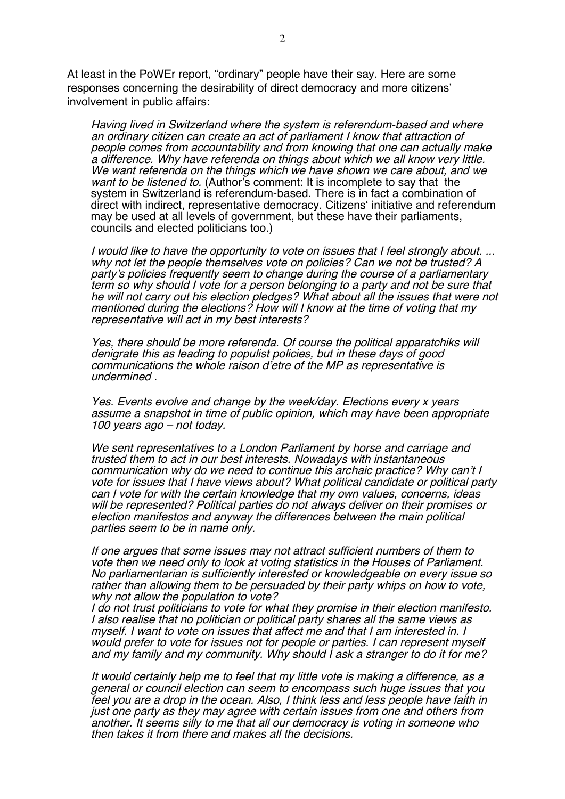At least in the PoWEr report, "ordinary" people have their say. Here are some responses concerning the desirability of direct democracy and more citizens' involvement in public affairs:

Having lived in Switzerland where the system is referendum-based and where an ordinary citizen can create an act of parliament I know that attraction of people comes from accountability and from knowing that one can actually make <sup>a</sup> difference. Why have referenda on things about which we all know very little. We want referenda on the things which we have shown we care about, and we want to be listened to. (Author's comment: It is incomplete to say that the system in Switzerland is referendum-based. There is in fact a combination of direct with indirect, representative democracy. Citizens' initiative and referendum may be used at all levels of government, but these have their parliaments, councils and elected politicians too.)

I would like to have the opportunity to vote on issues that I feel strongly about. ... why not let the people themselves vote on policies? Can we not be trusted? A party's policies frequently seem to change during the course of <sup>a</sup> parliamentary term so why should I vote for a person belonging to <sup>a</sup> party and not be sure that he will not carry out his election pledges? What about all the issues that were not mentioned during the elections? How will I know at the time of voting that my representative will act in my best interests?

Yes, there should be more referenda. Of course the political apparatchiks will denigrate this as leading to populist policies, but in these days of good communications the whole raison d'etre of the MP as representative is undermined .

Yes. Events evolve and change by the week/day. Elections every x years assume <sup>a</sup> snapshot in time of public opinion, which may have been appropriate 100 years ago – not today.

We sent representatives to <sup>a</sup> London Parliament by horse and carriage and trusted them to act in our best interests. Nowadays with instantaneous communication why do we need to continue this archaic practice? Why can't I vote for issues that I have views about? What political candidate or political party can I vote for with the certain knowledge that my own values, concerns, ideas will be represented? Political parties do not always deliver on their promises or election manifestos and anyway the differences between the main political parties seem to be in name only.

If one argues that some issues may not attract sufficient numbers of them to vote then we need only to look at voting statistics in the Houses of Parliament. No parliamentarian is sufficiently interested or knowledgeable on every issue so rather than allowing them to be persuaded by their party whips on how to vote, why not allow the population to vote?

I do not trust politicians to vote for what they promise in their election manifesto. I also realise that no politician or political party shares all the same views as myself. I want to vote on issues that affect me and that I am interested in. I would prefer to vote for issues not for people or parties. I can represent myself and my family and my community. Why should I ask a stranger to do it for me?

It would certainly help me to feel that my little vote is making <sup>a</sup> difference, as a general or council election can seem to encompass such huge issues that you feel you are <sup>a</sup> drop in the ocean. Also, I think less and less people have faith in just one party as they may agree with certain issues from one and others from another. It seems silly to me that all our democracy is voting in someone who then takes it from there and makes all the decisions.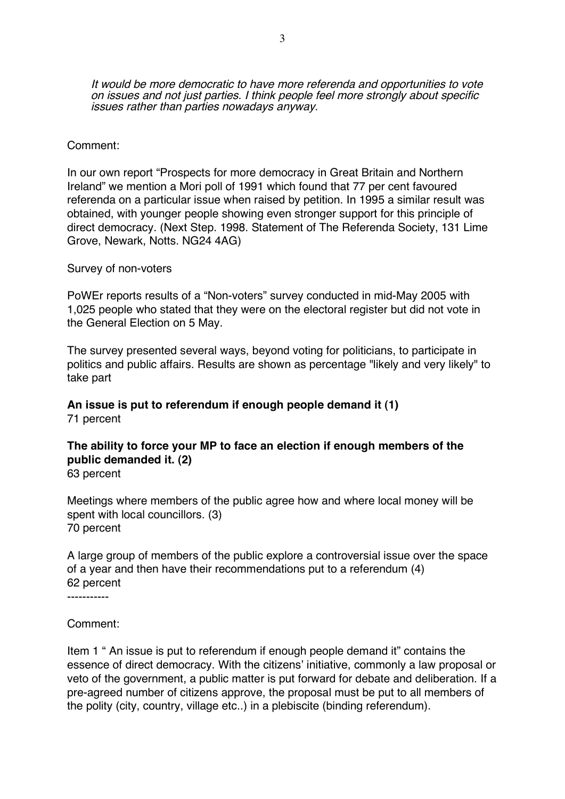It would be more democratic to have more referenda and opportunities to vote on issues and not just parties. I think people feel more strongly about specific issues rather than parties nowadays anyway.

#### Comment:

In our own report "Prospects for more democracy in Great Britain and Northern Ireland" we mention a Mori poll of 1991 which found that 77 per cent favoured referenda on a particular issue when raised by petition. In 1995 a similar result was obtained, with younger people showing even stronger support for this principle of direct democracy. (Next Step. 1998. Statement of The Referenda Society, 131 Lime Grove, Newark, Notts. NG24 4AG)

Survey of non-voters

PoWEr reports results of a "Non-voters" survey conducted in mid-May 2005 with 1,025 people who stated that they were on the electoral register but did not vote in the General Election on 5 May.

The survey presented several ways, beyond voting for politicians, to participate in politics and public affairs. Results are shown as percentage "likely and very likely" to take part

### **An issue is put to referendum if enough people demand it (1)** 71 percent

# **The ability to force your MP to face an election if enough members of the public demanded it. (2)**

63 percent

Meetings where members of the public agree how and where local money will be spent with local councillors. (3) 70 percent

A large group of members of the public explore a controversial issue over the space of a year and then have their recommendations put to a referendum (4) 62 percent

-----------

Comment:

Item 1 " An issue is put to referendum if enough people demand it" contains the essence of direct democracy. With the citizens' initiative, commonly a law proposal or veto of the government, a public matter is put forward for debate and deliberation. If a pre-agreed number of citizens approve, the proposal must be put to all members of the polity (city, country, village etc..) in a plebiscite (binding referendum).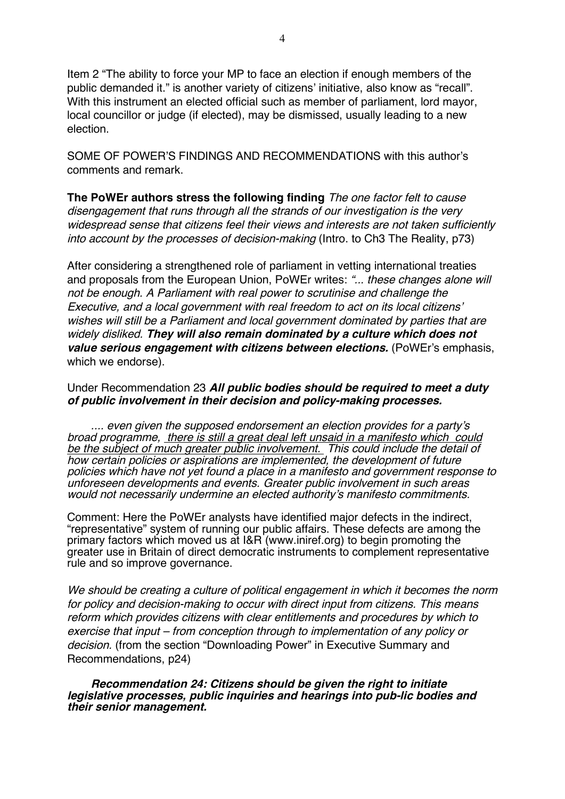Item 2 "The ability to force your MP to face an election if enough members of the public demanded it." is another variety of citizens' initiative, also know as "recall". With this instrument an elected official such as member of parliament, lord mayor, local councillor or judge (if elected), may be dismissed, usually leading to a new election.

SOME OF POWER'S FINDINGS AND RECOMMENDATIONS with this author's comments and remark.

**The PoWEr authors stress the following finding** The one factor felt to cause disengagement that runs through all the strands of our investigation is the very widespread sense that citizens feel their views and interests are not taken sufficiently into account by the processes of decision-making (Intro. to Ch3 The Reality, p73)

After considering a strengthened role of parliament in vetting international treaties and proposals from the European Union, PoWEr writes: "... these changes alone will not be enough. A Parliament with real power to scrutinise and challenge the Executive, and <sup>a</sup> local government with real freedom to act on its local citizens' wishes will still be <sup>a</sup> Parliament and local government dominated by parties that are widely disliked. **They will also remain dominated by <sup>a</sup> culture which does not value serious engagement with citizens between elections.** (PoWEr's emphasis, which we endorse).

#### Under Recommendation 23 **All public bodies should be required to meet a duty of public involvement in their decision and policy-making processes.**

.... even given the supposed endorsement an election provides for a party'<sup>s</sup> broad programme, there is still <sup>a</sup> great deal left unsaid in <sup>a</sup> manifesto which could be the subject of much greater public involvement. This could include the detail of how certain policies or aspirations are implemented, the development of future policies which have not yet found <sup>a</sup> place in <sup>a</sup> manifesto and government response to unforeseen developments and events. Greater public involvement in such areas would not necessarily undermine an elected authority's manifesto commitments.

Comment: Here the PoWEr analysts have identified major defects in the indirect, "representative" system of running our public affairs. These defects are among the primary factors which moved us at I&R (www.iniref.org) to begin promoting the greater use in Britain of direct democratic instruments to complement representative rule and so improve governance.

We should be creating <sup>a</sup> culture of political engagement in which it becomes the norm for policy and decision-making to occur with direct input from citizens. This means reform which provides citizens with clear entitlements and procedures by which to exercise that input – from conception through to implementation of any policy or decision. (from the section "Downloading Power" in Executive Summary and Recommendations, p24)

**Recommendation 24: Citizens should be given the right to initiate legislative processes, public inquiries and hearings into pub-lic bodies and their senior management.**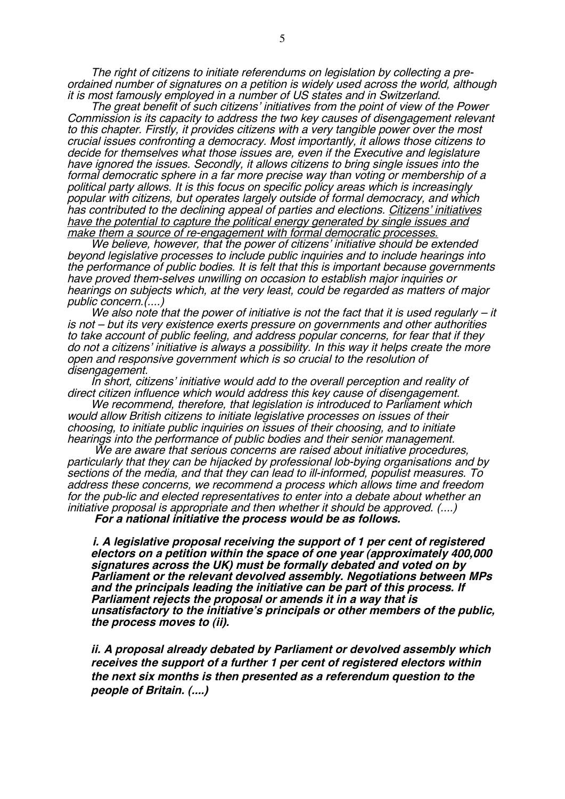The right of citizens to initiate referendums on legislation by collecting <sup>a</sup> preordained number of signatures on <sup>a</sup> petition is widely used across the world, although it is most famously employed in <sup>a</sup> number of US states and in Switzerland.

The great benefit of such citizens' initiatives from the point of view of the Power Commission is its capacity to address the two key causes of disengagement relevant to this chapter. Firstly, it provides citizens with <sup>a</sup> very tangible power over the most crucial issues confronting <sup>a</sup> democracy. Most importantly, it allows those citizens to decide for themselves what those issues are, even if the Executive and legislature have ignored the issues. Secondly, it allows citizens to bring single issues into the formal democratic sphere in <sup>a</sup> far more precise way than voting or membership of <sup>a</sup> political party allows. It is this focus on specific policy areas which is increasingly popular with citizens, but operates largely outside of formal democracy, and which has contributed to the declining appeal of parties and elections. Citizens' initiatives have the potential to capture the political energy generated by single issues and make them a source of re-engagement with formal democratic processes.

We believe, however, that the power of citizens' initiative should be extended beyond legislative processes to include public inquiries and to include hearings into the performance of public bodies. It is felt that this is important because governments have proved them-selves unwilling on occasion to establish major inquiries or hearings on subjects which, at the very least, could be regarded as matters of major public concern.(....)

We also note that the power of initiative is not the fact that it is used regularly  $-$  it is not – but its very existence exerts pressure on governments and other authorities to take account of public feeling, and address popular concerns, for fear that if they do not <sup>a</sup> citizens' initiative is always a possibility. In this way it helps create the more open and responsive government which is so crucial to the resolution of disengagement.

In short, citizens' initiative would add to the overall perception and reality of direct citizen influence which would address this key cause of disengagement.

We recommend, therefore, that legislation is introduced to Parliament which would allow British citizens to initiate legislative processes on issues of their choosing, to initiate public inquiries on issues of their choosing, and to initiate hearings into the performance of public bodies and their senior management.

We are aware that serious concerns are raised about initiative procedures, particularly that they can be hijacked by professional lob-bying organisations and by sections of the media, and that they can lead to ill-informed, populist measures. To address these concerns, we recommend <sup>a</sup> process which allows time and freedom for the pub-lic and elected representatives to enter into <sup>a</sup> debate about whether an initiative proposal is appropriate and then whether it should be approved. (....)

**For <sup>a</sup> national initiative the process would be as follows.**

**i. A legislative proposal receiving the support of 1 per cent of registered electors on <sup>a</sup> petition within the space of one year (approximately 400,000 signatures across the UK) must be formally debated and voted on by Parliament or the relevant devolved assembly. Negotiations between MPs and the principals leading the initiative can be part of this process. If Parliament rejects the proposal or amends it in <sup>a</sup> way that is unsatisfactory to the initiative'<sup>s</sup> principals or other members of the public, the process moves to (ii).**

**ii. A proposal already debated by Parliament or devolved assembly which receives the support of a further 1 per cent of registered electors within the next six months is then presented as <sup>a</sup> referendum question to the people of Britain. (....)**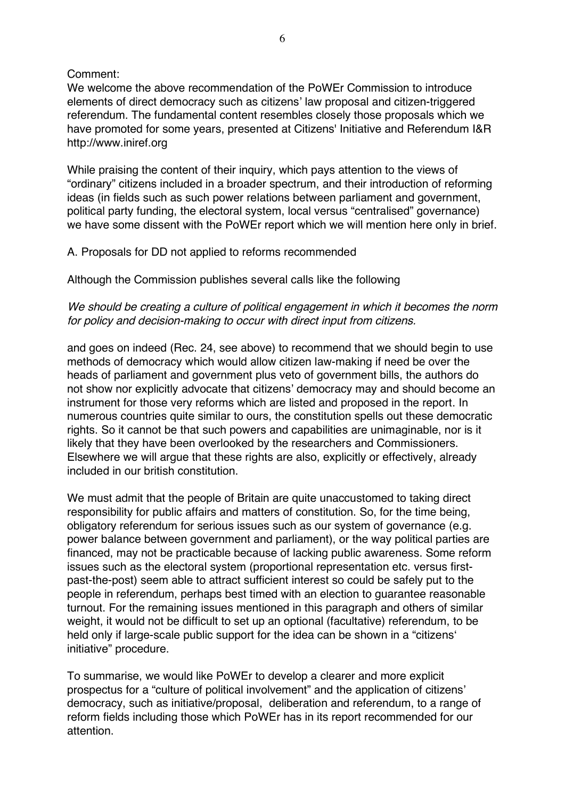# Comment:

We welcome the above recommendation of the PoWEr Commission to introduce elements of direct democracy such as citizens' law proposal and citizen-triggered referendum. The fundamental content resembles closely those proposals which we have promoted for some years, presented at Citizens' Initiative and Referendum I&R http://www.iniref.org

While praising the content of their inquiry, which pays attention to the views of "ordinary" citizens included in a broader spectrum, and their introduction of reforming ideas (in fields such as such power relations between parliament and government, political party funding, the electoral system, local versus "centralised" governance) we have some dissent with the PoWEr report which we will mention here only in brief.

### A. Proposals for DD not applied to reforms recommended

Although the Commission publishes several calls like the following

# We should be creating a culture of political engagement in which it becomes the norm for policy and decision-making to occur with direct input from citizens.

and goes on indeed (Rec. 24, see above) to recommend that we should begin to use methods of democracy which would allow citizen law-making if need be over the heads of parliament and government plus veto of government bills, the authors do not show nor explicitly advocate that citizens' democracy may and should become an instrument for those very reforms which are listed and proposed in the report. In numerous countries quite similar to ours, the constitution spells out these democratic rights. So it cannot be that such powers and capabilities are unimaginable, nor is it likely that they have been overlooked by the researchers and Commissioners. Elsewhere we will argue that these rights are also, explicitly or effectively, already included in our british constitution.

We must admit that the people of Britain are quite unaccustomed to taking direct responsibility for public affairs and matters of constitution. So, for the time being, obligatory referendum for serious issues such as our system of governance (e.g. power balance between government and parliament), or the way political parties are financed, may not be practicable because of lacking public awareness. Some reform issues such as the electoral system (proportional representation etc. versus firstpast-the-post) seem able to attract sufficient interest so could be safely put to the people in referendum, perhaps best timed with an election to guarantee reasonable turnout. For the remaining issues mentioned in this paragraph and others of similar weight, it would not be difficult to set up an optional (facultative) referendum, to be held only if large-scale public support for the idea can be shown in a "citizens' initiative" procedure.

To summarise, we would like PoWEr to develop a clearer and more explicit prospectus for a "culture of political involvement" and the application of citizens' democracy, such as initiative/proposal, deliberation and referendum, to a range of reform fields including those which PoWEr has in its report recommended for our attention.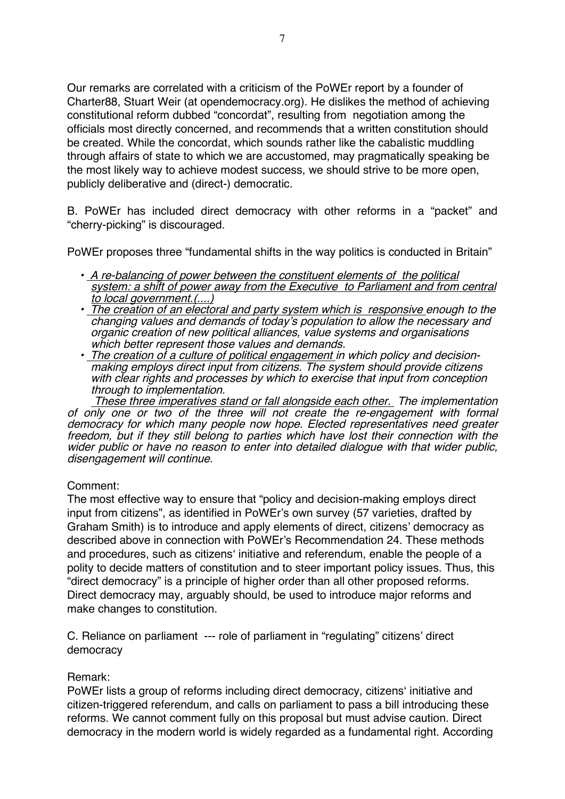Our remarks are correlated with a criticism of the PoWEr report by a founder of Charter88, Stuart Weir (at opendemocracy.org). He dislikes the method of achieving constitutional reform dubbed "concordat", resulting from negotiation among the officials most directly concerned, and recommends that a written constitution should be created. While the concordat, which sounds rather like the cabalistic muddling through affairs of state to which we are accustomed, may pragmatically speaking be the most likely way to achieve modest success, we should strive to be more open, publicly deliberative and (direct-) democratic.

B. PoWEr has included direct democracy with other reforms in a "packet" and "cherry-picking" is discouraged.

PoWEr proposes three "fundamental shifts in the way politics is conducted in Britain"

- A re-balancing of power between the constituent elements of the political system: <sup>a</sup> shift of power away from the Executive to Parliament and from central to local government.(....)
- The creation of an electoral and party system which is responsive enough to the changing values and demands of today's population to allow the necessary and organic creation of new political alliances, value systems and organisations which better represent those values and demands.
- The creation of <sup>a</sup> culture of political engagement in which policy and decision making employs direct input from citizens. The system should provide citizens with clear rights and processes by which to exercise that input from conception through to implementation.

These three imperatives stand or fall alongside each other. The implementation of only one or two of the three will not create the re-engagement with formal democracy for which many people now hope. Elected representatives need greater freedom, but if they still belong to parties which have lost their connection with the wider public or have no reason to enter into detailed dialogue with that wider public, disengagement will continue.

# Comment:

The most effective way to ensure that "policy and decision-making employs direct input from citizens", as identified in PoWEr's own survey (57 varieties, drafted by Graham Smith) is to introduce and apply elements of direct, citizens' democracy as described above in connection with PoWEr's Recommendation 24. These methods and procedures, such as citizens' initiative and referendum, enable the people of a polity to decide matters of constitution and to steer important policy issues. Thus, this "direct democracy" is a principle of higher order than all other proposed reforms. Direct democracy may, arguably should, be used to introduce major reforms and make changes to constitution.

C. Reliance on parliament --- role of parliament in "regulating" citizens' direct democracy

### Remark:

PoWEr lists a group of reforms including direct democracy, citizens' initiative and citizen-triggered referendum, and calls on parliament to pass a bill introducing these reforms. We cannot comment fully on this proposal but must advise caution. Direct democracy in the modern world is widely regarded as a fundamental right. According